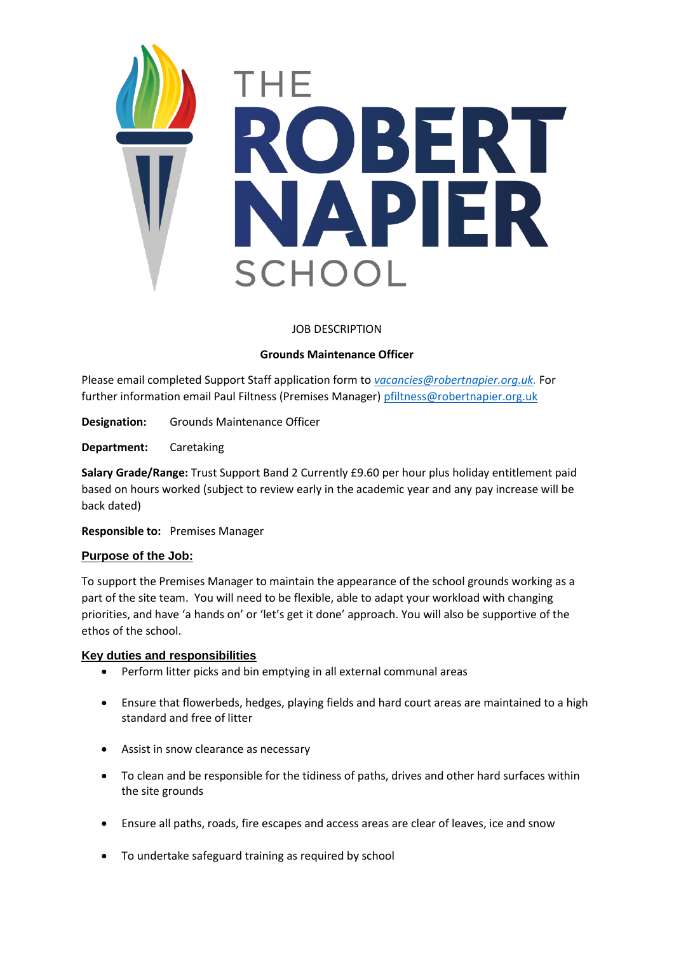

# JOB DESCRIPTION

## **Grounds Maintenance Officer**

Please email completed Support Staff application form to *[vacancies@robertnapier.org.uk.](mailto:vacancies@robertnapier.org.uk)* For further information email Paul Filtness (Premises Manager) [pfiltness@robertnapier.org.uk](mailto:pfiltness@robertnapier.org.uk)

**Designation:** Grounds Maintenance Officer

**Department:** Caretaking

**Salary Grade/Range:** Trust Support Band 2 Currently £9.60 per hour plus holiday entitlement paid based on hours worked (subject to review early in the academic year and any pay increase will be back dated)

**Responsible to:** Premises Manager

#### **Purpose of the Job:**

To support the Premises Manager to maintain the appearance of the school grounds working as a part of the site team. You will need to be flexible, able to adapt your workload with changing priorities, and have 'a hands on' or 'let's get it done' approach. You will also be supportive of the ethos of the school.

#### **Key duties and responsibilities**

- Perform litter picks and bin emptying in all external communal areas
- Ensure that flowerbeds, hedges, playing fields and hard court areas are maintained to a high standard and free of litter
- Assist in snow clearance as necessary
- To clean and be responsible for the tidiness of paths, drives and other hard surfaces within the site grounds
- Ensure all paths, roads, fire escapes and access areas are clear of leaves, ice and snow
- To undertake safeguard training as required by school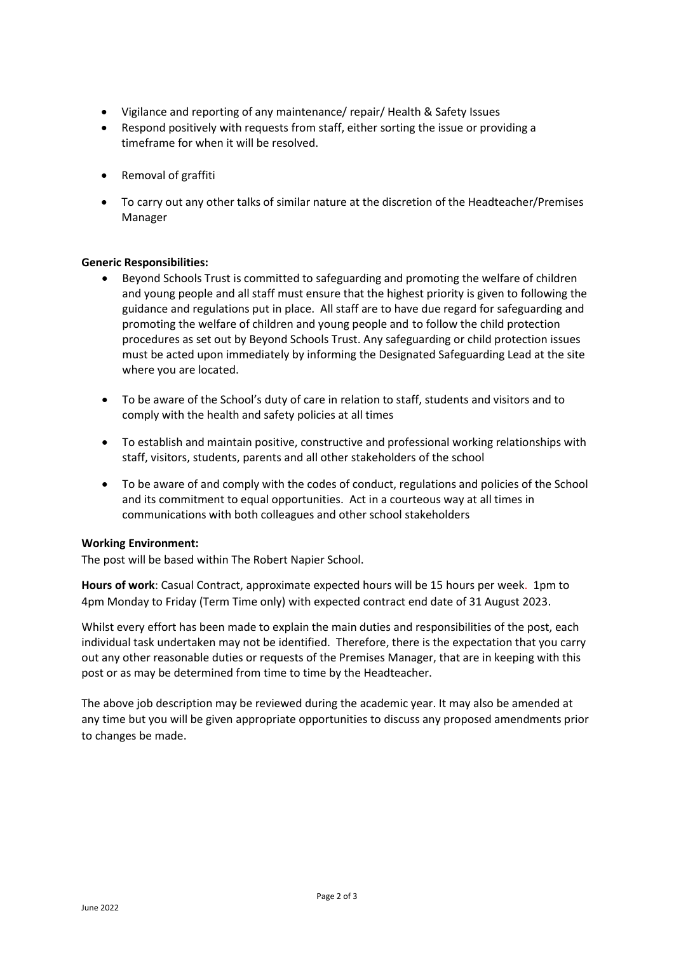- Vigilance and reporting of any maintenance/ repair/ Health & Safety Issues
- Respond positively with requests from staff, either sorting the issue or providing a timeframe for when it will be resolved.
- Removal of graffiti
- To carry out any other talks of similar nature at the discretion of the Headteacher/Premises Manager

## **Generic Responsibilities:**

- Beyond Schools Trust is committed to safeguarding and promoting the welfare of children and young people and all staff must ensure that the highest priority is given to following the guidance and regulations put in place. All staff are to have due regard for safeguarding and promoting the welfare of children and young people and to follow the child protection procedures as set out by Beyond Schools Trust. Any safeguarding or child protection issues must be acted upon immediately by informing the Designated Safeguarding Lead at the site where you are located.
- To be aware of the School's duty of care in relation to staff, students and visitors and to comply with the health and safety policies at all times
- To establish and maintain positive, constructive and professional working relationships with staff, visitors, students, parents and all other stakeholders of the school
- To be aware of and comply with the codes of conduct, regulations and policies of the School and its commitment to equal opportunities. Act in a courteous way at all times in communications with both colleagues and other school stakeholders

#### **Working Environment:**

The post will be based within The Robert Napier School.

**Hours of work**: Casual Contract, approximate expected hours will be 15 hours per week. 1pm to 4pm Monday to Friday (Term Time only) with expected contract end date of 31 August 2023.

Whilst every effort has been made to explain the main duties and responsibilities of the post, each individual task undertaken may not be identified. Therefore, there is the expectation that you carry out any other reasonable duties or requests of the Premises Manager, that are in keeping with this post or as may be determined from time to time by the Headteacher.

The above job description may be reviewed during the academic year. It may also be amended at any time but you will be given appropriate opportunities to discuss any proposed amendments prior to changes be made.